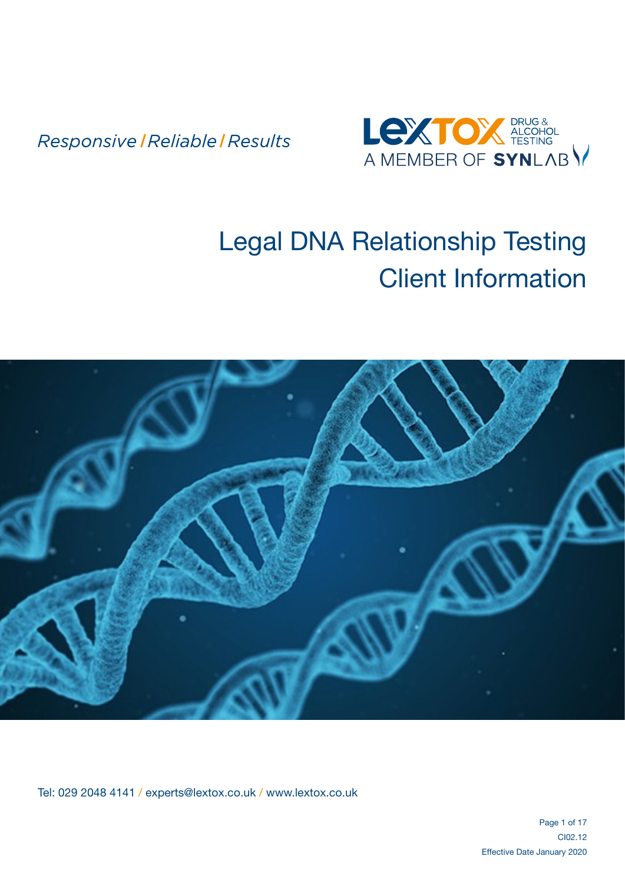

# Legal DNA Relationship Testing Client Information



Tel: 029 2048 4141 / experts@lextox.co.uk / www.lextox.co.uk

Page 1 of 17 CI02.12 Effective Date January 2020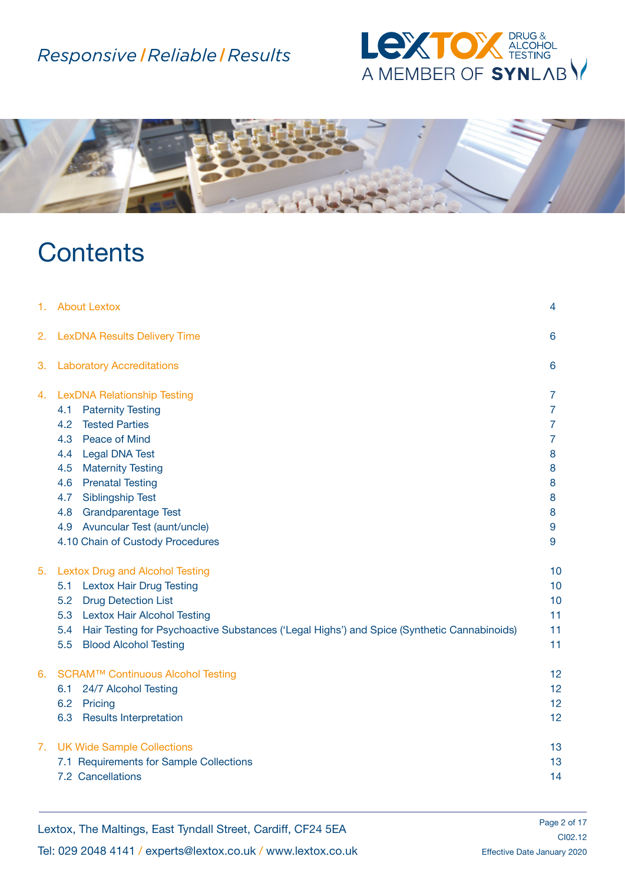



# **Contents**

| 1. | <b>About Lextox</b>                                                                                | 4              |
|----|----------------------------------------------------------------------------------------------------|----------------|
| 2. | <b>LexDNA Results Delivery Time</b>                                                                | 6              |
| 3. | <b>Laboratory Accreditations</b>                                                                   | 6              |
| 4. | <b>LexDNA Relationship Testing</b>                                                                 | $\overline{7}$ |
|    | <b>Paternity Testing</b><br>4.1                                                                    | $\overline{7}$ |
|    | <b>Tested Parties</b><br>4.2                                                                       | $\overline{7}$ |
|    | Peace of Mind<br>4.3                                                                               | $\overline{7}$ |
|    | <b>Legal DNA Test</b><br>4.4                                                                       | 8              |
|    | <b>Maternity Testing</b><br>4.5                                                                    | 8              |
|    | <b>Prenatal Testing</b><br>4.6                                                                     | 8              |
|    | <b>Siblingship Test</b><br>4.7                                                                     | 8              |
|    | Grandparentage Test<br>4.8                                                                         | 8              |
|    | Avuncular Test (aunt/uncle)<br>4.9                                                                 | 9              |
|    | 4.10 Chain of Custody Procedures                                                                   | 9              |
| 5. | <b>Lextox Drug and Alcohol Testing</b>                                                             | 10             |
|    | <b>Lextox Hair Drug Testing</b><br>5.1                                                             | 10             |
|    | <b>Drug Detection List</b><br>5.2                                                                  | 10             |
|    | <b>Lextox Hair Alcohol Testing</b><br>5.3                                                          | 11             |
|    | Hair Testing for Psychoactive Substances ('Legal Highs') and Spice (Synthetic Cannabinoids)<br>5.4 | 11             |
|    | <b>Blood Alcohol Testing</b><br>5.5                                                                | 11             |
| 6. | SCRAM™ Continuous Alcohol Testing                                                                  | 12             |
|    | 24/7 Alcohol Testing<br>6.1                                                                        | 12             |
|    | 6.2<br>Pricing                                                                                     | 12             |
|    | 6.3<br><b>Results Interpretation</b>                                                               | 12             |
| 7. | <b>UK Wide Sample Collections</b>                                                                  | 13             |
|    | 7.1 Requirements for Sample Collections                                                            | 13             |
|    | 7.2 Cancellations                                                                                  | 14             |

Lextox, The Maltings, East Tyndall Street, Cardiff, CF24 5EA

Tel: 029 2048 4141 / experts@lextox.co.uk / www.lextox.co.uk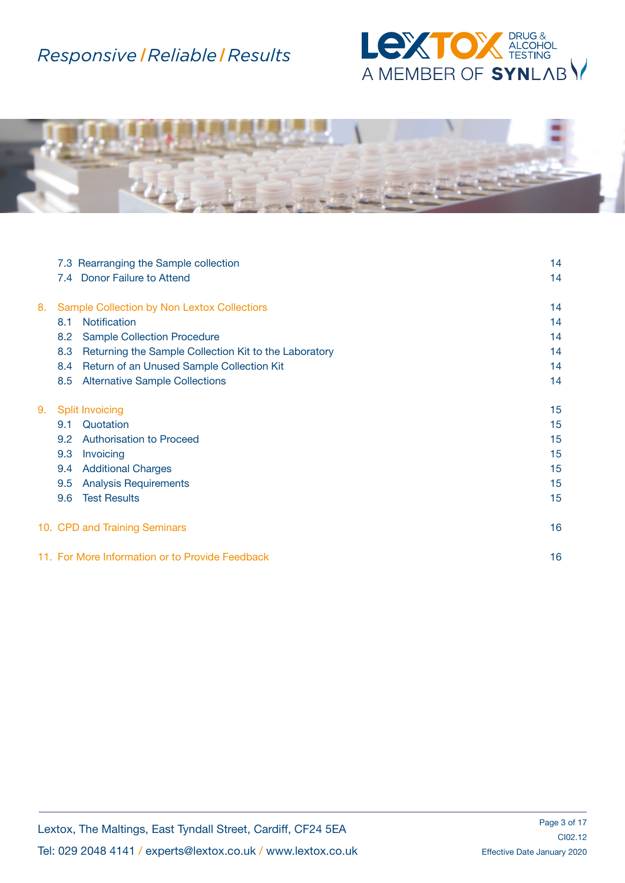



|    |     | 7.3 Rearranging the Sample collection                 | 14               |
|----|-----|-------------------------------------------------------|------------------|
|    |     | 7.4 Donor Failure to Attend                           | 14               |
| 8. |     | <b>Sample Collection by Non Lextox Collectiors</b>    | 14               |
|    | 8.1 | <b>Notification</b>                                   | 14               |
|    | 8.2 | <b>Sample Collection Procedure</b>                    | 14               |
|    | 8.3 | Returning the Sample Collection Kit to the Laboratory | 14               |
|    | 8.4 | Return of an Unused Sample Collection Kit             | 14               |
|    | 8.5 | <b>Alternative Sample Collections</b>                 | 14               |
| 9. |     | <b>Split Invoicing</b>                                | 15 <sub>15</sub> |
|    | 9.1 | Quotation                                             | 15               |
|    | 9.2 | <b>Authorisation to Proceed</b>                       | 15               |
|    | 9.3 | Invoicing                                             | 15               |
|    | 9.4 | <b>Additional Charges</b>                             | 15               |
|    | 9.5 | <b>Analysis Requirements</b>                          | 15               |
|    | 9.6 | <b>Test Results</b>                                   | 15               |
|    |     | 10. CPD and Training Seminars                         | 16               |
|    |     | 11. For More Information or to Provide Feedback       | 16               |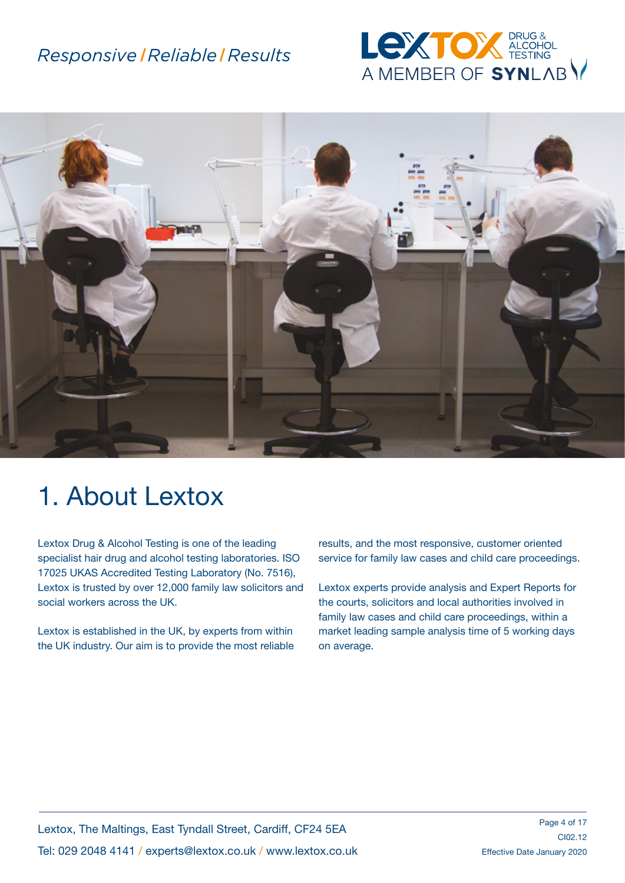



# 1. About Lextox

Lextox Drug & Alcohol Testing is one of the leading specialist hair drug and alcohol testing laboratories. ISO 17025 UKAS Accredited Testing Laboratory (No. 7516), Lextox is trusted by over 12,000 family law solicitors and social workers across the UK.

Lextox is established in the UK, by experts from within the UK industry. Our aim is to provide the most reliable results, and the most responsive, customer oriented service for family law cases and child care proceedings.

Lextox experts provide analysis and Expert Reports for the courts, solicitors and local authorities involved in family law cases and child care proceedings, within a market leading sample analysis time of 5 working days on average.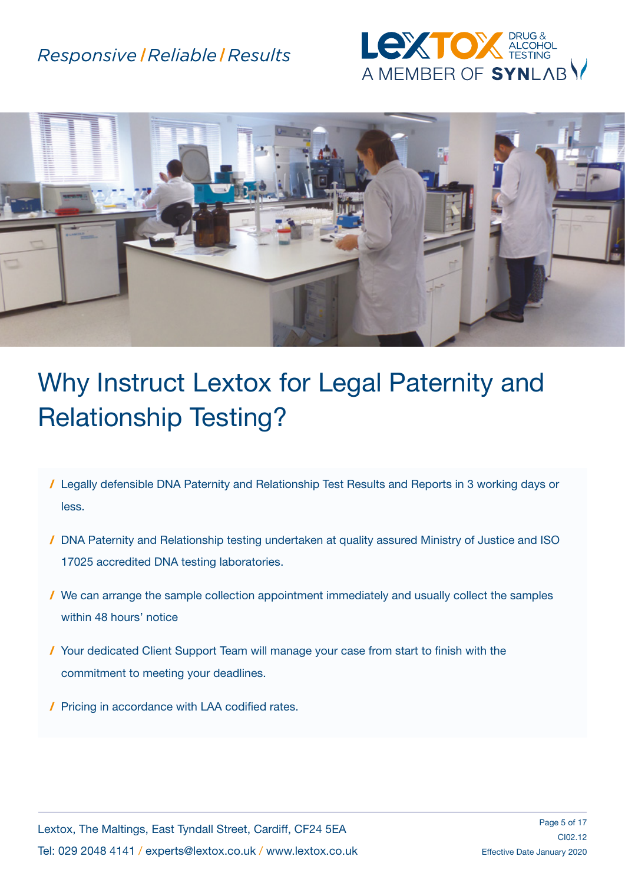



# Why Instruct Lextox for Legal Paternity and Relationship Testing?

- / Legally defensible DNA Paternity and Relationship Test Results and Reports in 3 working days or less.
- / DNA Paternity and Relationship testing undertaken at quality assured Ministry of Justice and ISO 17025 accredited DNA testing laboratories.
- / We can arrange the sample collection appointment immediately and usually collect the samples within 48 hours' notice
- / Your dedicated Client Support Team will manage your case from start to finish with the commitment to meeting your deadlines.
- / Pricing in accordance with LAA codified rates.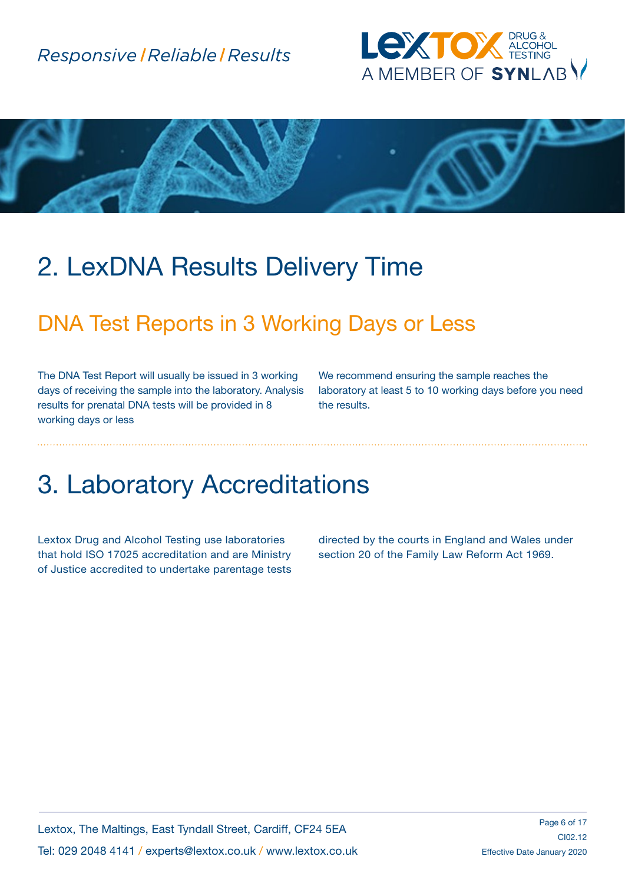



# 2. LexDNA Results Delivery Time

## DNA Test Reports in 3 Working Days or Less

The DNA Test Report will usually be issued in 3 working days of receiving the sample into the laboratory. Analysis results for prenatal DNA tests will be provided in 8 working days or less

We recommend ensuring the sample reaches the laboratory at least 5 to 10 working days before you need the results.

## 3. Laboratory Accreditations

Lextox Drug and Alcohol Testing use laboratories that hold ISO 17025 accreditation and are Ministry of Justice accredited to undertake parentage tests directed by the courts in England and Wales under section 20 of the Family Law Reform Act 1969.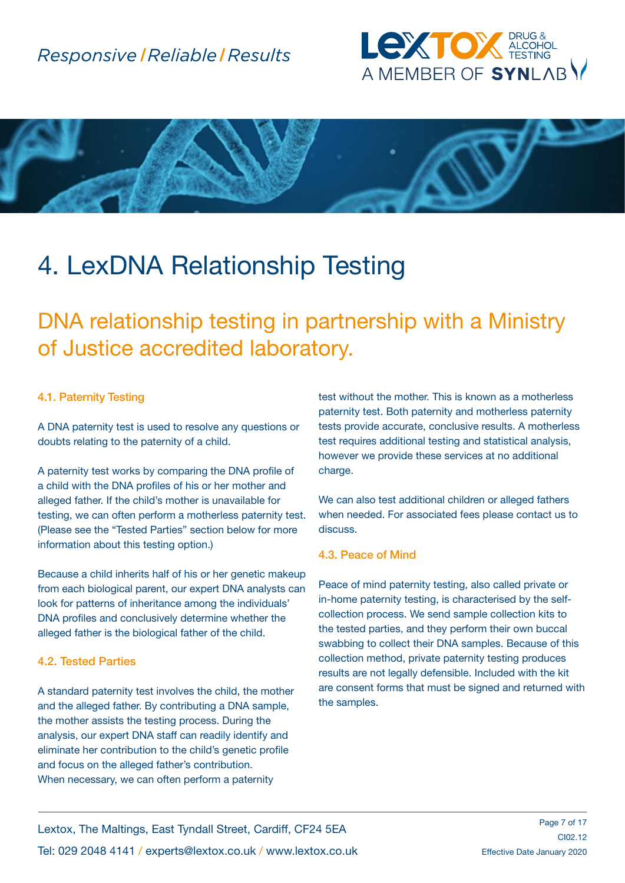



# 4. LexDNA Relationship Testing

DNA relationship testing in partnership with a Ministry of Justice accredited laboratory.

#### 4.1. Paternity Testing

A DNA paternity test is used to resolve any questions or doubts relating to the paternity of a child.

A paternity test works by comparing the DNA profile of a child with the DNA profiles of his or her mother and alleged father. If the child's mother is unavailable for testing, we can often perform a motherless paternity test. (Please see the "Tested Parties" section below for more information about this testing option.)

Because a child inherits half of his or her genetic makeup from each biological parent, our expert DNA analysts can look for patterns of inheritance among the individuals' DNA profiles and conclusively determine whether the alleged father is the biological father of the child.

#### 4.2. Tested Parties

A standard paternity test involves the child, the mother and the alleged father. By contributing a DNA sample, the mother assists the testing process. During the analysis, our expert DNA staff can readily identify and eliminate her contribution to the child's genetic profile and focus on the alleged father's contribution. When necessary, we can often perform a paternity

test without the mother. This is known as a motherless paternity test. Both paternity and motherless paternity tests provide accurate, conclusive results. A motherless test requires additional testing and statistical analysis, however we provide these services at no additional charge.

We can also test additional children or alleged fathers when needed. For associated fees please contact us to discuss.

#### 4.3. Peace of Mind

Peace of mind paternity testing, also called private or in-home paternity testing, is characterised by the selfcollection process. We send sample collection kits to the tested parties, and they perform their own buccal swabbing to collect their DNA samples. Because of this collection method, private paternity testing produces results are not legally defensible. Included with the kit are consent forms that must be signed and returned with the samples.

Lextox, The Maltings, East Tyndall Street, Cardiff, CF24 5EA Tel: 029 2048 4141 / experts@lextox.co.uk / www.lextox.co.uk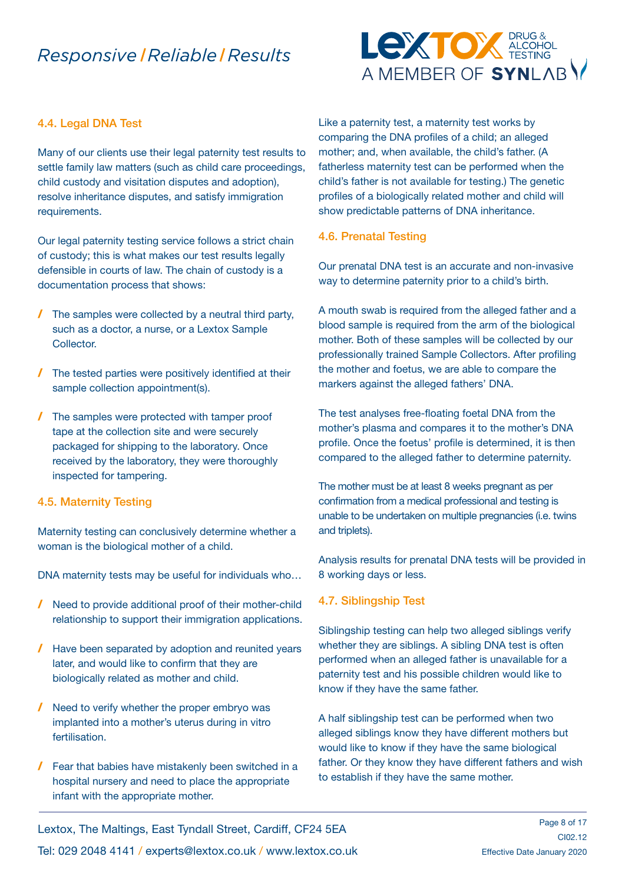

#### 4.4. Legal DNA Test

Many of our clients use their legal paternity test results to settle family law matters (such as child care proceedings, child custody and visitation disputes and adoption), resolve inheritance disputes, and satisfy immigration requirements.

Our legal paternity testing service follows a strict chain of custody; this is what makes our test results legally defensible in courts of law. The chain of custody is a documentation process that shows:

- / The samples were collected by a neutral third party, such as a doctor, a nurse, or a Lextox Sample Collector.
- / The tested parties were positively identified at their sample collection appointment(s).
- / The samples were protected with tamper proof tape at the collection site and were securely packaged for shipping to the laboratory. Once received by the laboratory, they were thoroughly inspected for tampering.

#### 4.5. Maternity Testing

Maternity testing can conclusively determine whether a woman is the biological mother of a child.

DNA maternity tests may be useful for individuals who…

- / Need to provide additional proof of their mother-child relationship to support their immigration applications.
- / Have been separated by adoption and reunited years later, and would like to confirm that they are biologically related as mother and child.
- / Need to verify whether the proper embryo was implanted into a mother's uterus during in vitro fertilisation.
- / Fear that babies have mistakenly been switched in a hospital nursery and need to place the appropriate infant with the appropriate mother.

Like a paternity test, a maternity test works by comparing the DNA profiles of a child; an alleged mother; and, when available, the child's father. (A fatherless maternity test can be performed when the child's father is not available for testing.) The genetic profiles of a biologically related mother and child will show predictable patterns of DNA inheritance.

#### 4.6. Prenatal Testing

Our prenatal DNA test is an accurate and non-invasive way to determine paternity prior to a child's birth.

A mouth swab is required from the alleged father and a blood sample is required from the arm of the biological mother. Both of these samples will be collected by our professionally trained Sample Collectors. After profiling the mother and foetus, we are able to compare the markers against the alleged fathers' DNA.

The test analyses free-floating foetal DNA from the mother's plasma and compares it to the mother's DNA profile. Once the foetus' profile is determined, it is then compared to the alleged father to determine paternity.

The mother must be at least 8 weeks pregnant as per confirmation from a medical professional and testing is unable to be undertaken on multiple pregnancies (i.e. twins and triplets).

Analysis results for prenatal DNA tests will be provided in 8 working days or less.

#### 4.7. Siblingship Test

Siblingship testing can help two alleged siblings verify whether they are siblings. A sibling DNA test is often performed when an alleged father is unavailable for a paternity test and his possible children would like to know if they have the same father.

A half siblingship test can be performed when two alleged siblings know they have different mothers but would like to know if they have the same biological father. Or they know they have different fathers and wish to establish if they have the same mother.

Lextox, The Maltings, East Tyndall Street, Cardiff, CF24 5EA

Tel: 029 2048 4141 / experts@lextox.co.uk / www.lextox.co.uk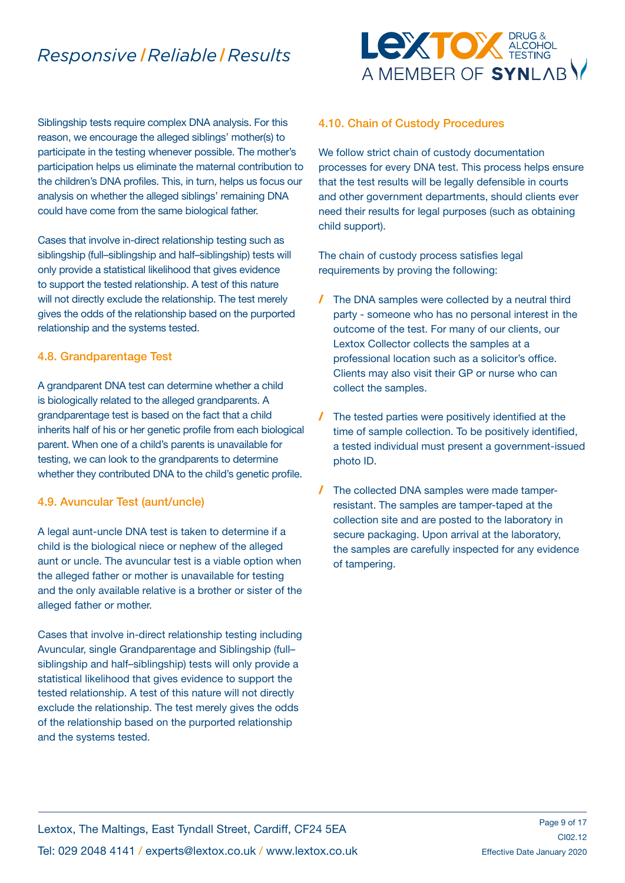Siblingship tests require complex DNA analysis. For this reason, we encourage the alleged siblings' mother(s) to participate in the testing whenever possible. The mother's participation helps us eliminate the maternal contribution to the children's DNA profiles. This, in turn, helps us focus our analysis on whether the alleged siblings' remaining DNA could have come from the same biological father.

Cases that involve in-direct relationship testing such as siblingship (full–siblingship and half–siblingship) tests will only provide a statistical likelihood that gives evidence to support the tested relationship. A test of this nature will not directly exclude the relationship. The test merely gives the odds of the relationship based on the purported relationship and the systems tested.

#### 4.8. Grandparentage Test

A grandparent DNA test can determine whether a child is biologically related to the alleged grandparents. A grandparentage test is based on the fact that a child inherits half of his or her genetic profile from each biological parent. When one of a child's parents is unavailable for testing, we can look to the grandparents to determine whether they contributed DNA to the child's genetic profile.

#### 4.9. Avuncular Test (aunt/uncle)

A legal aunt-uncle DNA test is taken to determine if a child is the biological niece or nephew of the alleged aunt or uncle. The avuncular test is a viable option when the alleged father or mother is unavailable for testing and the only available relative is a brother or sister of the alleged father or mother.

Cases that involve in-direct relationship testing including Avuncular, single Grandparentage and Siblingship (full– siblingship and half–siblingship) tests will only provide a statistical likelihood that gives evidence to support the tested relationship. A test of this nature will not directly exclude the relationship. The test merely gives the odds of the relationship based on the purported relationship and the systems tested.



#### 4.10. Chain of Custody Procedures

We follow strict chain of custody documentation processes for every DNA test. This process helps ensure that the test results will be legally defensible in courts and other government departments, should clients ever need their results for legal purposes (such as obtaining child support).

The chain of custody process satisfies legal requirements by proving the following:

- / The DNA samples were collected by a neutral third party - someone who has no personal interest in the outcome of the test. For many of our clients, our Lextox Collector collects the samples at a professional location such as a solicitor's office. Clients may also visit their GP or nurse who can collect the samples.
- / The tested parties were positively identified at the time of sample collection. To be positively identified, a tested individual must present a government-issued photo ID.
- / The collected DNA samples were made tamperresistant. The samples are tamper-taped at the collection site and are posted to the laboratory in secure packaging. Upon arrival at the laboratory, the samples are carefully inspected for any evidence of tampering.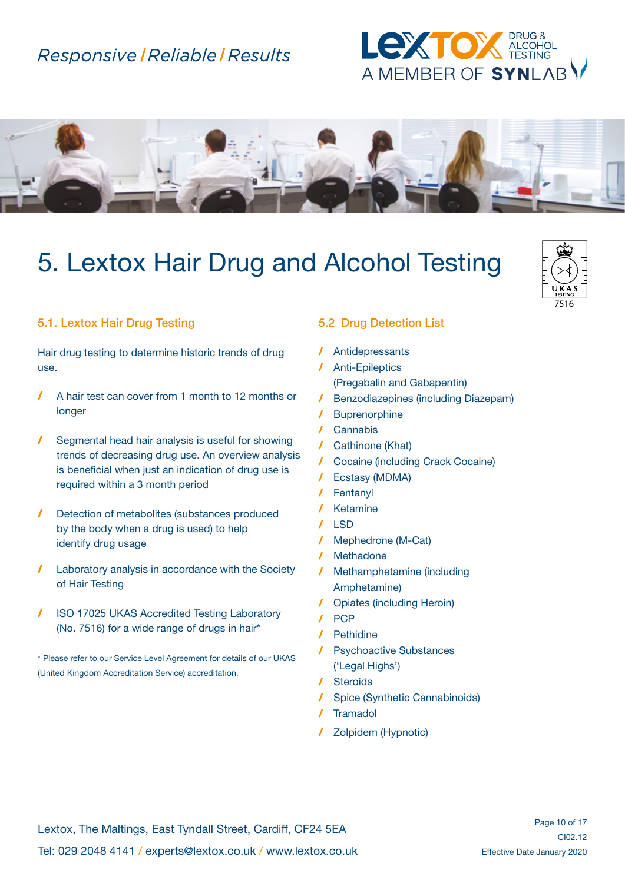



# 5. Lextox Hair Drug and Alcohol Testing



#### 5.1. Lextox Hair Drug Testing

Hair drug testing to determine historic trends of drug use.

- / A hair test can cover from 1 month to 12 months or longer
- / Segmental head hair analysis is useful for showing trends of decreasing drug use. An overview analysis is beneficial when just an indication of drug use is required within a 3 month period
- / Detection of metabolites (substances produced by the body when a drug is used) to help identify drug usage
- / Laboratory analysis in accordance with the Society of Hair Testing
- / ISO 17025 UKAS Accredited Testing Laboratory (No. 7516) for a wide range of drugs in hair\*

\* Please refer to our Service Level Agreement for details of our UKAS (United Kingdom Accreditation Service) accreditation.

#### 5.2 Drug Detection List

- / Antidepressants
- / Anti-Epileptics (Pregabalin and Gabapentin)
- / Benzodiazepines (including Diazepam)
- / Buprenorphine
- / Cannabis
- / Cathinone (Khat)
- / Cocaine (including Crack Cocaine)
- / Ecstasy (MDMA)
- / Fentanyl
- **Ketamine**
- $/$  LSD
- Mephedrone (M-Cat)
- / Methadone
- / Methamphetamine (including Amphetamine)
- / Opiates (including Heroin)
- / PCP
- / Pethidine
- / Psychoactive Substances ('Legal Highs')
- / Steroids
- / Spice (Synthetic Cannabinoids)
- **Tramadol**
- / Zolpidem (Hypnotic)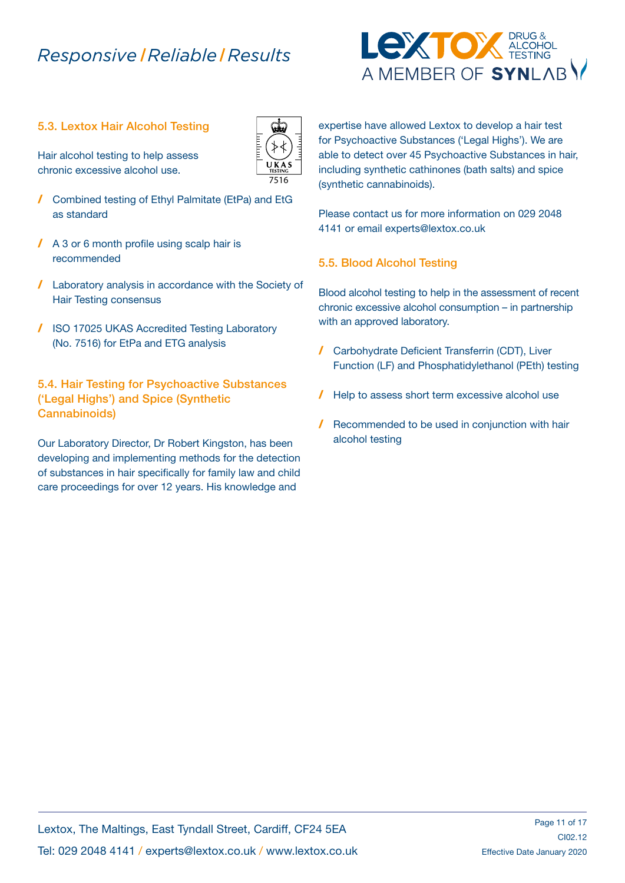#### 5.3. Lextox Hair Alcohol Testing

Hair alcohol testing to help assess chronic excessive alcohol use.

- / Combined testing of Ethyl Palmitate (EtPa) and EtG as standard
- / A 3 or 6 month profile using scalp hair is recommended
- / Laboratory analysis in accordance with the Society of Hair Testing consensus
- / ISO 17025 UKAS Accredited Testing Laboratory (No. 7516) for EtPa and ETG analysis

5.4. Hair Testing for Psychoactive Substances ('Legal Highs') and Spice (Synthetic Cannabinoids)

Our Laboratory Director, Dr Robert Kingston, has been developing and implementing methods for the detection of substances in hair specifically for family law and child care proceedings for over 12 years. His knowledge and

expertise have allowed Lextox to develop a hair test for Psychoactive Substances ('Legal Highs'). We are able to detect over 45 Psychoactive Substances in hair, including synthetic cathinones (bath salts) and spice (synthetic cannabinoids).

Please contact us for more information on 029 2048 4141 or email experts@lextox.co.uk

#### 5.5. Blood Alcohol Testing

Blood alcohol testing to help in the assessment of recent chronic excessive alcohol consumption – in partnership with an approved laboratory.

- / Carbohydrate Deficient Transferrin (CDT), Liver Function (LF) and Phosphatidylethanol (PEth) testing
- / Help to assess short term excessive alcohol use
- / Recommended to be used in conjunction with hair alcohol testing



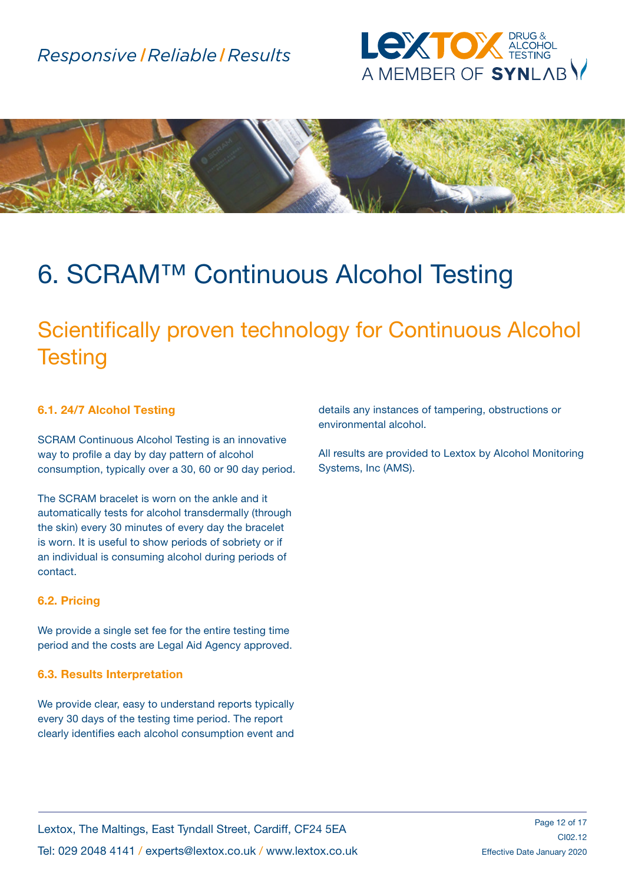



# 6. SCRAM™ Continuous Alcohol Testing

## Scientifically proven technology for Continuous Alcohol **Testing**

#### 6.1. 24/7 Alcohol Testing

SCRAM Continuous Alcohol Testing is an innovative way to profile a day by day pattern of alcohol consumption, typically over a 30, 60 or 90 day period.

The SCRAM bracelet is worn on the ankle and it automatically tests for alcohol transdermally (through the skin) every 30 minutes of every day the bracelet is worn. It is useful to show periods of sobriety or if an individual is consuming alcohol during periods of contact.

#### 6.2. Pricing

We provide a single set fee for the entire testing time period and the costs are Legal Aid Agency approved.

#### 6.3. Results Interpretation

We provide clear, easy to understand reports typically every 30 days of the testing time period. The report clearly identifies each alcohol consumption event and

details any instances of tampering, obstructions or environmental alcohol.

All results are provided to Lextox by Alcohol Monitoring Systems, Inc (AMS).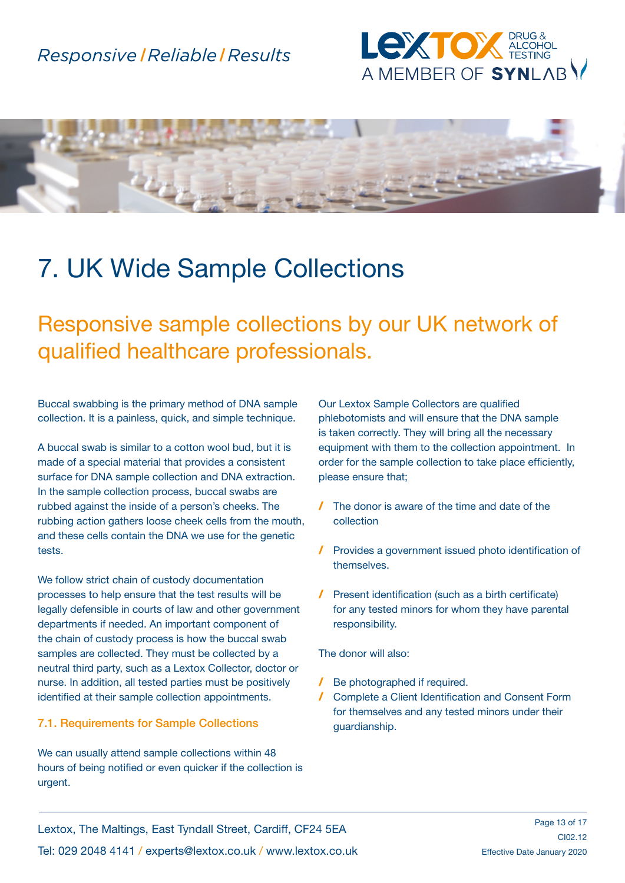



## 7. UK Wide Sample Collections

## Responsive sample collections by our UK network of qualified healthcare professionals.

Buccal swabbing is the primary method of DNA sample collection. It is a painless, quick, and simple technique.

A buccal swab is similar to a cotton wool bud, but it is made of a special material that provides a consistent surface for DNA sample collection and DNA extraction. In the sample collection process, buccal swabs are rubbed against the inside of a person's cheeks. The rubbing action gathers loose cheek cells from the mouth, and these cells contain the DNA we use for the genetic tests.

We follow strict chain of custody documentation processes to help ensure that the test results will be legally defensible in courts of law and other government departments if needed. An important component of the chain of custody process is how the buccal swab samples are collected. They must be collected by a neutral third party, such as a Lextox Collector, doctor or nurse. In addition, all tested parties must be positively identified at their sample collection appointments.

#### 7.1. Requirements for Sample Collections

We can usually attend sample collections within 48 hours of being notified or even quicker if the collection is urgent.

Our Lextox Sample Collectors are qualified phlebotomists and will ensure that the DNA sample is taken correctly. They will bring all the necessary equipment with them to the collection appointment. In order for the sample collection to take place efficiently, please ensure that;

- / The donor is aware of the time and date of the collection
- / Provides a government issued photo identification of themselves.
- / Present identification (such as a birth certificate) for any tested minors for whom they have parental responsibility.

The donor will also:

- / Be photographed if required.
- / Complete a Client Identification and Consent Form for themselves and any tested minors under their guardianship.

Lextox, The Maltings, East Tyndall Street, Cardiff, CF24 5EA Tel: 029 2048 4141 / experts@lextox.co.uk / www.lextox.co.uk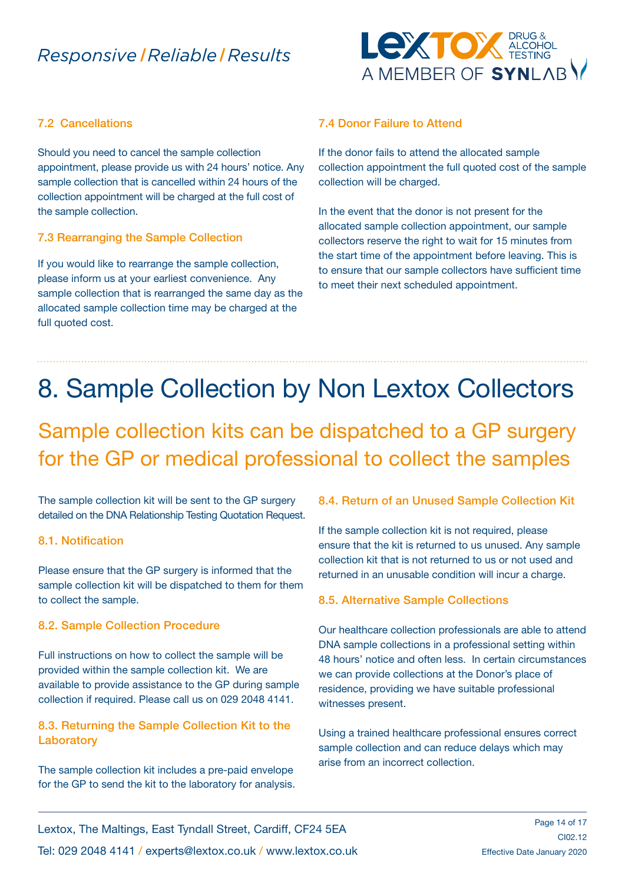

#### 7.2 Cancellations

Should you need to cancel the sample collection appointment, please provide us with 24 hours' notice. Any sample collection that is cancelled within 24 hours of the collection appointment will be charged at the full cost of the sample collection.

#### 7.3 Rearranging the Sample Collection

If you would like to rearrange the sample collection, please inform us at your earliest convenience. Any sample collection that is rearranged the same day as the allocated sample collection time may be charged at the full quoted cost.

#### 7.4 Donor Failure to Attend

If the donor fails to attend the allocated sample collection appointment the full quoted cost of the sample collection will be charged.

In the event that the donor is not present for the allocated sample collection appointment, our sample collectors reserve the right to wait for 15 minutes from the start time of the appointment before leaving. This is to ensure that our sample collectors have sufficient time to meet their next scheduled appointment.

# 8. Sample Collection by Non Lextox Collectors

## Sample collection kits can be dispatched to a GP surgery for the GP or medical professional to collect the samples

The sample collection kit will be sent to the GP surgery detailed on the DNA Relationship Testing Quotation Request.

#### 8.1. Notification

Please ensure that the GP surgery is informed that the sample collection kit will be dispatched to them for them to collect the sample.

#### 8.2. Sample Collection Procedure

Full instructions on how to collect the sample will be provided within the sample collection kit. We are available to provide assistance to the GP during sample collection if required. Please call us on 029 2048 4141.

#### 8.3. Returning the Sample Collection Kit to the **Laboratory**

The sample collection kit includes a pre-paid envelope for the GP to send the kit to the laboratory for analysis.

#### 8.4. Return of an Unused Sample Collection Kit

If the sample collection kit is not required, please ensure that the kit is returned to us unused. Any sample collection kit that is not returned to us or not used and returned in an unusable condition will incur a charge.

#### 8.5. Alternative Sample Collections

Our healthcare collection professionals are able to attend DNA sample collections in a professional setting within 48 hours' notice and often less. In certain circumstances we can provide collections at the Donor's place of residence, providing we have suitable professional witnesses present.

Using a trained healthcare professional ensures correct sample collection and can reduce delays which may arise from an incorrect collection.

Lextox, The Maltings, East Tyndall Street, Cardiff, CF24 5EA Tel: 029 2048 4141 / experts@lextox.co.uk / www.lextox.co.uk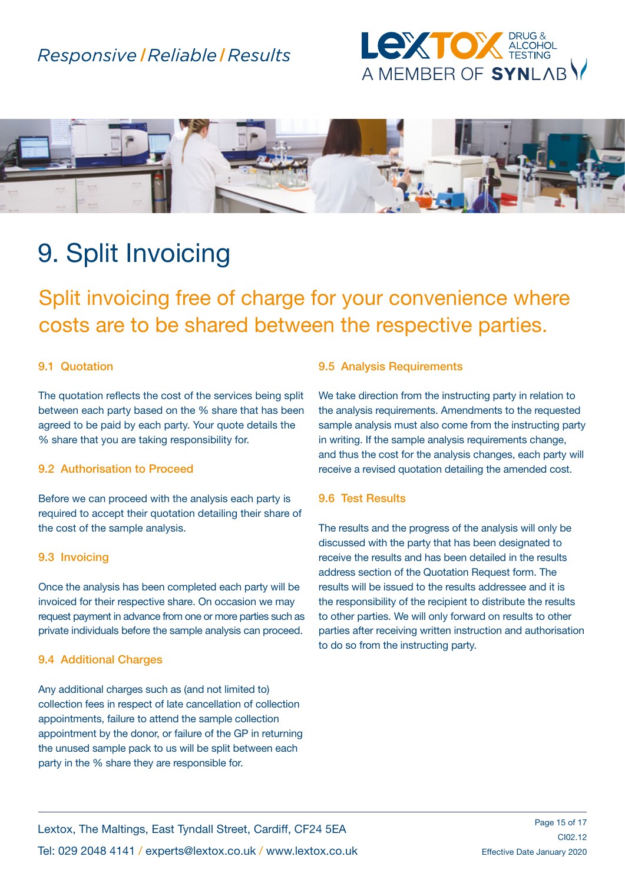



## 9. Split Invoicing

Split invoicing free of charge for your convenience where costs are to be shared between the respective parties.

#### 9.1 Quotation

The quotation reflects the cost of the services being split between each party based on the % share that has been agreed to be paid by each party. Your quote details the % share that you are taking responsibility for.

#### 9.2 Authorisation to Proceed

Before we can proceed with the analysis each party is required to accept their quotation detailing their share of the cost of the sample analysis.

#### 9.3 Invoicing

Once the analysis has been completed each party will be invoiced for their respective share. On occasion we may request payment in advance from one or more parties such as private individuals before the sample analysis can proceed.

#### 9.4 Additional Charges

Any additional charges such as (and not limited to) collection fees in respect of late cancellation of collection appointments, failure to attend the sample collection appointment by the donor, or failure of the GP in returning the unused sample pack to us will be split between each party in the % share they are responsible for.

#### 9.5 Analysis Requirements

We take direction from the instructing party in relation to the analysis requirements. Amendments to the requested sample analysis must also come from the instructing party in writing. If the sample analysis requirements change, and thus the cost for the analysis changes, each party will receive a revised quotation detailing the amended cost.

#### 9.6 Test Results

The results and the progress of the analysis will only be discussed with the party that has been designated to receive the results and has been detailed in the results address section of the Quotation Request form. The results will be issued to the results addressee and it is the responsibility of the recipient to distribute the results to other parties. We will only forward on results to other parties after receiving written instruction and authorisation to do so from the instructing party.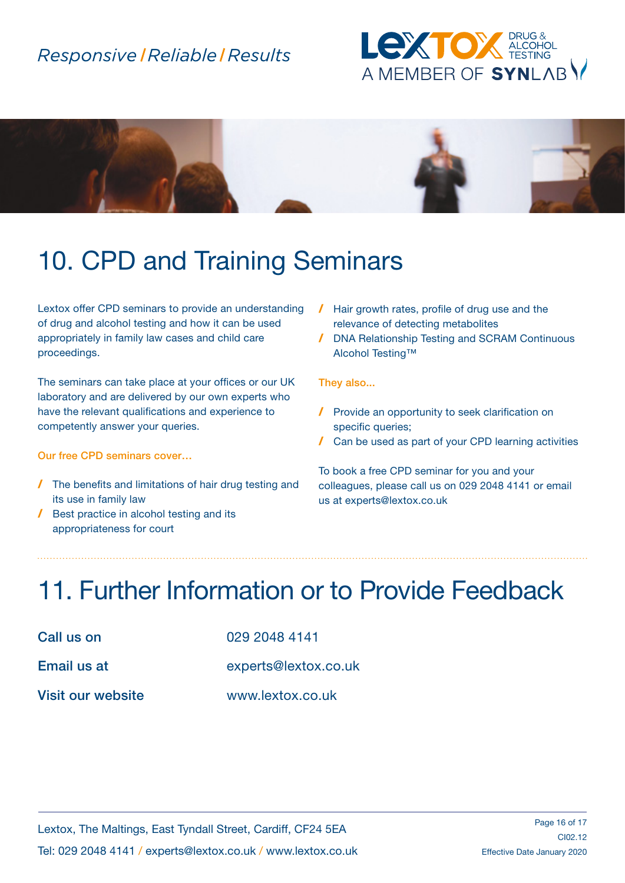



# 10. CPD and Training Seminars

Lextox offer CPD seminars to provide an understanding of drug and alcohol testing and how it can be used appropriately in family law cases and child care proceedings.

The seminars can take place at your offices or our UK laboratory and are delivered by our own experts who have the relevant qualifications and experience to competently answer your queries.

#### Our free CPD seminars cover…

- / The benefits and limitations of hair drug testing and its use in family law
- / Best practice in alcohol testing and its appropriateness for court
- / Hair growth rates, profile of drug use and the relevance of detecting metabolites
- / DNA Relationship Testing and SCRAM Continuous Alcohol Testing™

#### They also...

- / Provide an opportunity to seek clarification on specific queries;
- / Can be used as part of your CPD learning activities

To book a free CPD seminar for you and your colleagues, please call us on 029 2048 4141 or email us at experts@lextox.co.uk

# 11. Further Information or to Provide Feedback

| Call us on            |
|-----------------------|
| Email us at           |
| <b>Visit our webs</b> |

029 2048 4141

experts@lextox.co.uk

site www.lextox.co.uk

Lextox, The Maltings, East Tyndall Street, Cardiff, CF24 5EA Tel: 029 2048 4141 / experts@lextox.co.uk / www.lextox.co.uk

Page 16 of 17 CI02.12 Effective Date January 2020